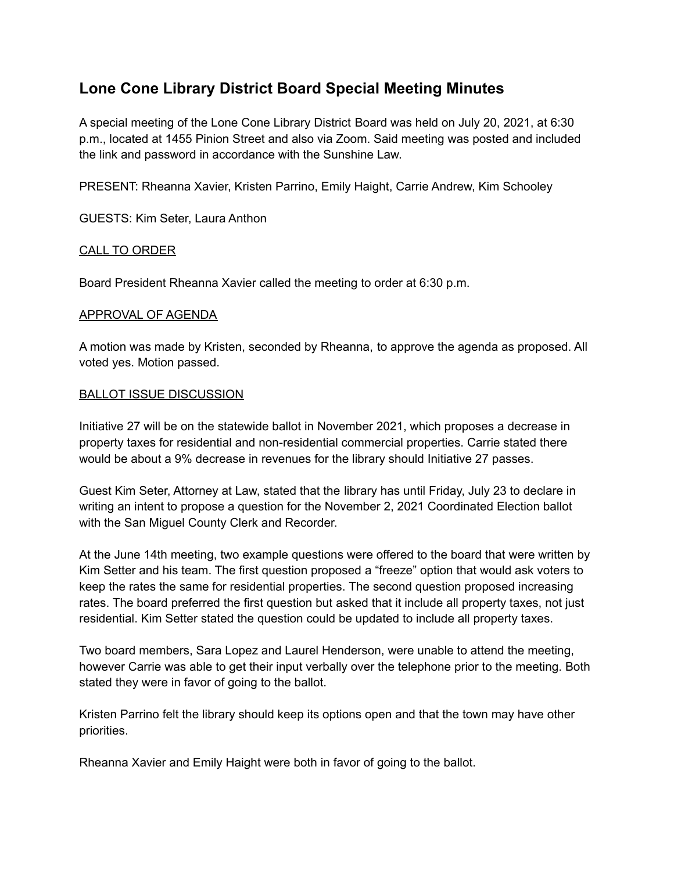# **Lone Cone Library District Board Special Meeting Minutes**

A special meeting of the Lone Cone Library District Board was held on July 20, 2021, at 6:30 p.m., located at 1455 Pinion Street and also via Zoom. Said meeting was posted and included the link and password in accordance with the Sunshine Law.

PRESENT: Rheanna Xavier, Kristen Parrino, Emily Haight, Carrie Andrew, Kim Schooley

GUESTS: Kim Seter, Laura Anthon

## CALL TO ORDER

Board President Rheanna Xavier called the meeting to order at 6:30 p.m.

#### APPROVAL OF AGENDA

A motion was made by Kristen, seconded by Rheanna, to approve the agenda as proposed. All voted yes. Motion passed.

## BALLOT ISSUE DISCUSSION

Initiative 27 will be on the statewide ballot in November 2021, which proposes a decrease in property taxes for residential and non-residential commercial properties. Carrie stated there would be about a 9% decrease in revenues for the library should Initiative 27 passes.

Guest Kim Seter, Attorney at Law, stated that the library has until Friday, July 23 to declare in writing an intent to propose a question for the November 2, 2021 Coordinated Election ballot with the San Miguel County Clerk and Recorder.

At the June 14th meeting, two example questions were offered to the board that were written by Kim Setter and his team. The first question proposed a "freeze" option that would ask voters to keep the rates the same for residential properties. The second question proposed increasing rates. The board preferred the first question but asked that it include all property taxes, not just residential. Kim Setter stated the question could be updated to include all property taxes.

Two board members, Sara Lopez and Laurel Henderson, were unable to attend the meeting, however Carrie was able to get their input verbally over the telephone prior to the meeting. Both stated they were in favor of going to the ballot.

Kristen Parrino felt the library should keep its options open and that the town may have other priorities.

Rheanna Xavier and Emily Haight were both in favor of going to the ballot.